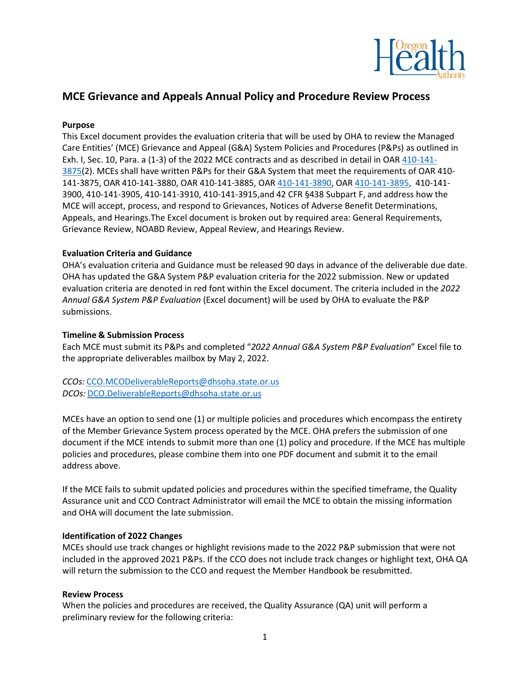

# **MCE Grievance and Appeals Annual Policy and Procedure Review Process**

## **Purpose**

This Excel document provides the evaluation criteria that will be used by OHA to review the Managed Care Entities' (MCE) Grievance and Appeal (G&A) System Policies and Procedures (P&Ps) as outlined in Exh. I, Sec. 10, Para. a (1-3) of the 2022 MCE contracts and as described in detail in OAR [410-141-](https://secure.sos.state.or.us/oard/view.action?ruleNumber=410-141-3875) [3875\(](https://secure.sos.state.or.us/oard/view.action?ruleNumber=410-141-3875)2). MCEs shall have written P&Ps for their G&A System that meet the requirements of OAR 410- 141-3875, OAR 410-141-3880, OAR 410-141-3885, OAR [410-141-3890,](https://secure.sos.state.or.us/oard/view.action?ruleNumber=410-141-3890) OAR [410-141-3895,](https://secure.sos.state.or.us/oard/view.action?ruleNumber=410-141-3895) 410-141- 3900, 410-141-3905, 410-141-3910, 410-141-3915,and 42 CFR §438 Subpart F, and address how the MCE will accept, process, and respond to Grievances, Notices of Adverse Benefit Determinations, Appeals, and Hearings.The Excel document is broken out by required area: General Requirements, Grievance Review, NOABD Review, Appeal Review, and Hearings Review.

### **Evaluation Criteria and Guidance**

OHA's evaluation criteria and Guidance must be released 90 days in advance of the deliverable due date. OHA has updated the G&A System P&P evaluation criteria for the 2022 submission. New or updated evaluation criteria are denoted in red font within the Excel document. The criteria included in the *2022 Annual G&A System P&P Evaluation* (Excel document) will be used by OHA to evaluate the P&P submissions.

### **Timeline & Submission Process**

Each MCE must submit its P&Ps and completed "*2022 Annual G&A System P&P Evaluation*" Excel file to the appropriate deliverables mailbox by May 2, 2022.

*CCOs:* [CCO.MCODeliverableReports@dhsoha.state.or.us](mailto:CCO.MCODeliverableReports@dhsoha.state.or.us) *DCOs:* [DCO.DeliverableReports@dhsoha.state.or.us](mailto:DCO.DeliverableReports@dhsoha.state.or.us)

MCEs have an option to send one (1) or multiple policies and procedures which encompass the entirety of the Member Grievance System process operated by the MCE. OHA prefers the submission of one document if the MCE intends to submit more than one (1) policy and procedure. If the MCE has multiple policies and procedures, please combine them into one PDF document and submit it to the email address above.

If the MCE fails to submit updated policies and procedures within the specified timeframe, the Quality Assurance unit and CCO Contract Administrator will email the MCE to obtain the missing information and OHA will document the late submission.

#### **Identification of 2022 Changes**

MCEs should use track changes or highlight revisions made to the 2022 P&P submission that were not included in the approved 2021 P&Ps. If the CCO does not include track changes or highlight text, OHA QA will return the submission to the CCO and request the Member Handbook be resubmitted.

#### **Review Process**

When the policies and procedures are received, the Quality Assurance (QA) unit will perform a preliminary review for the following criteria: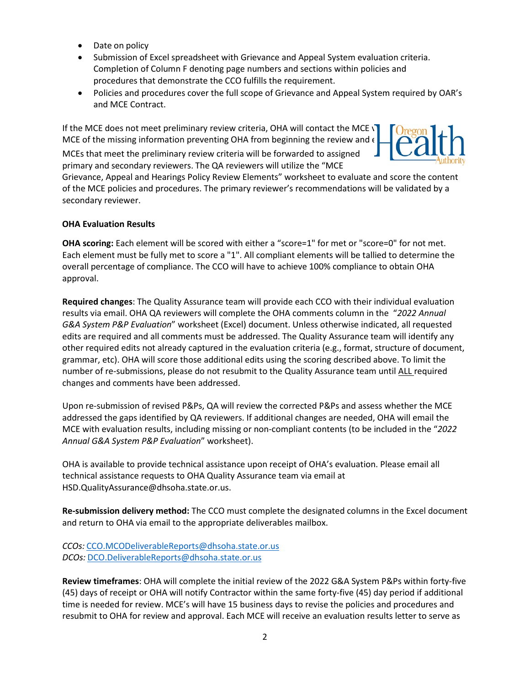- Date on policy
- Submission of Excel spreadsheet with Grievance and Appeal System evaluation criteria. Completion of Column F denoting page numbers and sections within policies and procedures that demonstrate the CCO fulfills the requirement.
- Policies and procedures cover the full scope of Grievance and Appeal System required by OAR's and MCE Contract.

If the MCE does not meet preliminary review criteria, OHA will contact the MCE  $\sqrt{ }$ MCE of the missing information preventing OHA from beginning the review and  $\epsilon$ 

MCEs that meet the preliminary review criteria will be forwarded to assigned primary and secondary reviewers. The QA reviewers will utilize the "MCE

Grievance, Appeal and Hearings Policy Review Elements" worksheet to evaluate and score the content of the MCE policies and procedures. The primary reviewer's recommendations will be validated by a secondary reviewer.

# **OHA Evaluation Results**

**OHA scoring:** Each element will be scored with either a "score=1" for met or "score=0" for not met. Each element must be fully met to score a "1". All compliant elements will be tallied to determine the overall percentage of compliance. The CCO will have to achieve 100% compliance to obtain OHA approval.

**Required changes**: The Quality Assurance team will provide each CCO with their individual evaluation results via email. OHA QA reviewers will complete the OHA comments column in the "*2022 Annual G&A System P&P Evaluation*" worksheet (Excel) document. Unless otherwise indicated, all requested edits are required and all comments must be addressed. The Quality Assurance team will identify any other required edits not already captured in the evaluation criteria (e.g., format, structure of document, grammar, etc). OHA will score those additional edits using the scoring described above. To limit the number of re-submissions, please do not resubmit to the Quality Assurance team until ALL required changes and comments have been addressed.

Upon re-submission of revised P&Ps, QA will review the corrected P&Ps and assess whether the MCE addressed the gaps identified by QA reviewers. If additional changes are needed, OHA will email the MCE with evaluation results, including missing or non-compliant contents (to be included in the "*2022 Annual G&A System P&P Evaluation*" worksheet).

OHA is available to provide technical assistance upon receipt of OHA's evaluation. Please email all technical assistance requests to OHA Quality Assurance team via email at HSD.QualityAssurance@dhsoha.state.or.us.

**Re-submission delivery method:** The CCO must complete the designated columns in the Excel document and return to OHA via email to the appropriate deliverables mailbox.

*CCOs:* [CCO.MCODeliverableReports@dhsoha.state.or.us](mailto:CCO.MCODeliverableReports@dhsoha.state.or.us) *DCOs:* [DCO.DeliverableReports@dhsoha.state.or.us](mailto:DCO.DeliverableReports@dhsoha.state.or.us)

**Review timeframes**: OHA will complete the initial review of the 2022 G&A System P&Ps within forty-five (45) days of receipt or OHA will notify Contractor within the same forty-five (45) day period if additional time is needed for review. MCE's will have 15 business days to revise the policies and procedures and resubmit to OHA for review and approval. Each MCE will receive an evaluation results letter to serve as